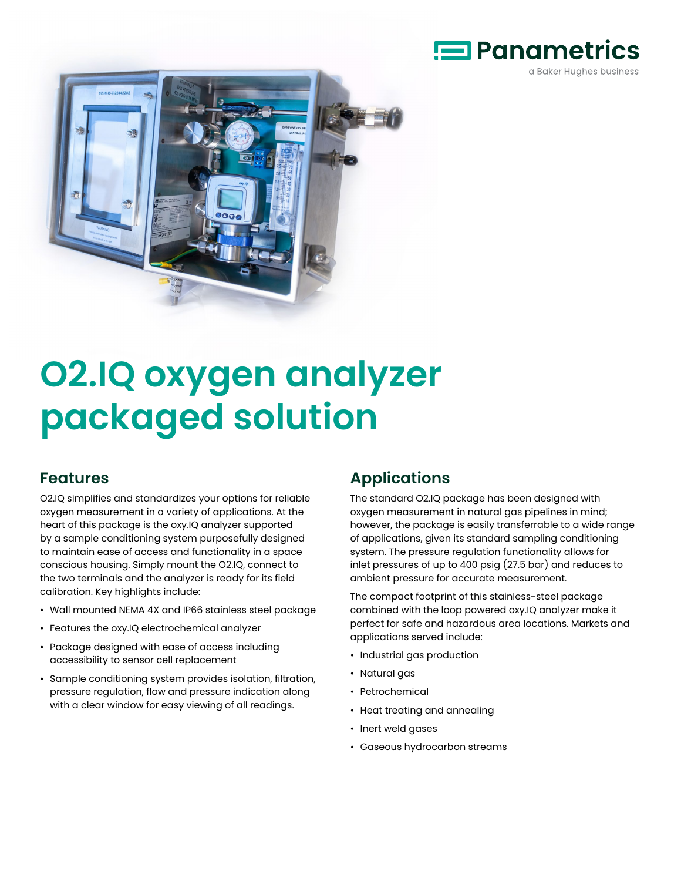



# **O2.IQ oxygen analyzer packaged solution**

## **Features**

O2.IQ simplifies and standardizes your options for reliable oxygen measurement in a variety of applications. At the heart of this package is the oxy.IQ analyzer supported by a sample conditioning system purposefully designed to maintain ease of access and functionality in a space conscious housing. Simply mount the O2.IQ, connect to the two terminals and the analyzer is ready for its field calibration. Key highlights include:

- Wall mounted NEMA 4X and IP66 stainless steel package
- Features the oxy.IQ electrochemical analyzer
- Package designed with ease of access including accessibility to sensor cell replacement
- Sample conditioning system provides isolation, filtration, pressure regulation, flow and pressure indication along with a clear window for easy viewing of all readings.

# **Applications**

The standard O2.IQ package has been designed with oxygen measurement in natural gas pipelines in mind; however, the package is easily transferrable to a wide range of applications, given its standard sampling conditioning system. The pressure regulation functionality allows for inlet pressures of up to 400 psig (27.5 bar) and reduces to ambient pressure for accurate measurement.

The compact footprint of this stainless-steel package combined with the loop powered oxy.IQ analyzer make it perfect for safe and hazardous area locations. Markets and applications served include:

- Industrial gas production
- Natural gas
- Petrochemical
- Heat treating and annealing
- Inert weld gases
- Gaseous hydrocarbon streams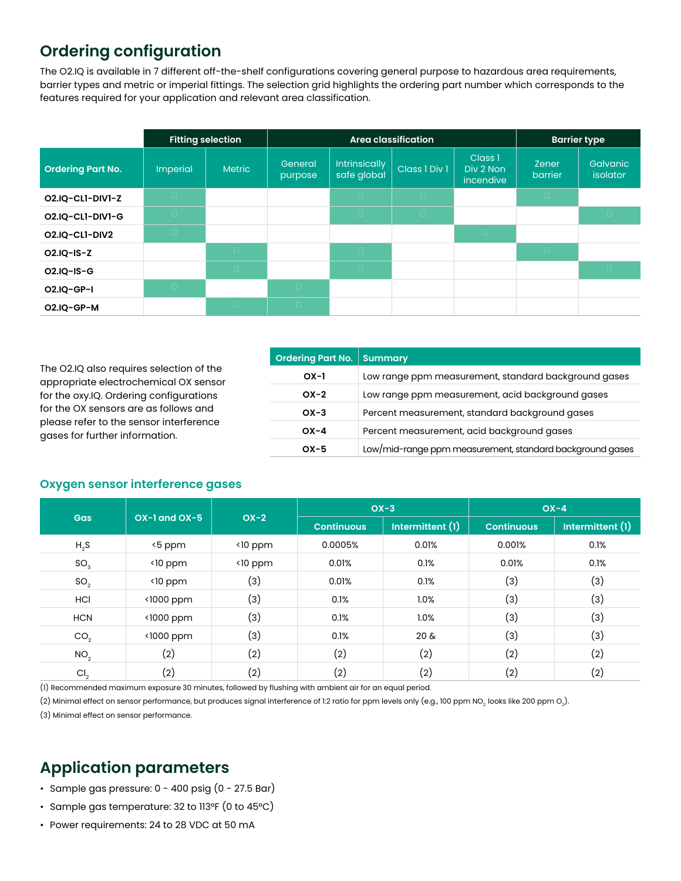# **Ordering configuration**

The O2.IQ is available in 7 different off-the-shelf configurations covering general purpose to hazardous area requirements, barrier types and metric or imperial fittings. The selection grid highlights the ordering part number which corresponds to the features required for your application and relevant area classification.

|                          |                 | <b>Fitting selection</b> | <b>Area classification</b> |                                     | <b>Barrier type</b> |                                              |                  |                             |
|--------------------------|-----------------|--------------------------|----------------------------|-------------------------------------|---------------------|----------------------------------------------|------------------|-----------------------------|
| <b>Ordering Part No.</b> | <b>Imperial</b> | <b>Metric</b>            | General<br>purpose         | <b>Intrinsically</b><br>safe global | Class 1 Div 1       | Class <sub>1</sub><br>Div 2 Non<br>incendive | Zener<br>barrier | Galvanic<br><i>isolator</i> |
| O2.IQ-CLI-DIVI-Z         | $\Box$          |                          |                            | $\Box$                              | $\Box$              |                                              | $\Box$           |                             |
| O2.IQ-CLI-DIVI-G         | $\Box$          |                          |                            | $\Box$                              | $\Box$              |                                              |                  | $\Box$                      |
| O2.IQ-CLI-DIV2           | $\Box$          |                          |                            |                                     |                     | $\Box$                                       |                  |                             |
| O2.IQ-IS-Z               |                 | $\Box$                   |                            | $\Box$                              |                     |                                              | $\Box$           |                             |
| O2.IQ-IS-G               |                 | $\Box$                   |                            | $\Box$                              |                     |                                              |                  | $\Box$                      |
| <b>O2.IQ-GP-I</b>        | $\Box$          |                          | $\Box$                     |                                     |                     |                                              |                  |                             |
| O2.IQ-GP-M               |                 | $\Box$                   | $\Box$                     |                                     |                     |                                              |                  |                             |

|                                                                                   | Ordering Part No.   Summary |                                                          |
|-----------------------------------------------------------------------------------|-----------------------------|----------------------------------------------------------|
| The O2.IQ also requires selection of the<br>appropriate electrochemical OX sensor | $OX-1$                      | Low range ppm measurement, standard background gases     |
| for the oxy.IQ. Ordering configurations                                           | $OX-2$                      | Low range ppm measurement, acid background gases         |
| for the OX sensors are as follows and                                             | $OX-3$                      | Percent measurement, standard background gases           |
| please refer to the sensor interference<br>gases for further information.         | $OX - 4$                    | Percent measurement, acid background gases               |
|                                                                                   | $OX-5$                      | Low/mid-range ppm measurement, standard background gases |

#### **Oxygen sensor interference gases**

| <b>Gas</b>      | $OX-1$ and $OX-5$  |                    |                   | $OX-3$           | $OX - 4$          |                   |  |
|-----------------|--------------------|--------------------|-------------------|------------------|-------------------|-------------------|--|
|                 |                    | $OX-2$             | <b>Continuous</b> | Intermittent (1) | <b>Continuous</b> | Intermittent (1)  |  |
| $H_{2}S$        | <5 ppm             | $\triangle$ 10 ppm | 0.0005%           | 0.01%            | 0.001%            | 0.1%              |  |
| SO <sub>3</sub> | $\triangle$ 10 ppm | $\triangle$ 10 ppm | 0.01%             | 0.1%             | 0.01%             | 0.1%              |  |
| SO <sub>2</sub> | $\triangle$ 10 ppm | (3)                | 0.01%             | 0.1%             | $\left( 3\right)$ | (3)               |  |
| HCI             | $\langle$ 1000 ppm | (3)                | 0.1%              | 1.0%             | (3)               | (3)               |  |
| <b>HCN</b>      | <1000 ppm          | (3)                | 0.1%              | 1.0%             | $\left( 3\right)$ | (3)               |  |
| CO <sub>2</sub> | <1000 ppm          | (3)                | 0.1%              | $20 \&$          | $\left( 3\right)$ | (3)               |  |
| NO <sub>2</sub> | (2)                | (2)                | (2)               | (2)              | (2)               | (2)               |  |
| Cl <sub>2</sub> | (2)                | (2)                | (2)               | (2)              | (2)               | $\left( 2\right)$ |  |

(1) Recommended maximum exposure 30 minutes, followed by flushing with ambient air for an equal period.

(2) Minimal effect on sensor performance, but produces signal interference of 1:2 ratio for ppm levels only (e.g., 100 ppm NO, looks like 200 ppm O<sub>2</sub>).

(3) Minimal effect on sensor performance.

## **Application parameters**

- Sample gas pressure: 0 400 psig (0 27.5 Bar)
- Sample gas temperature: 32 to 113°F (0 to 45°C)
- Power requirements: 24 to 28 VDC at 50 mA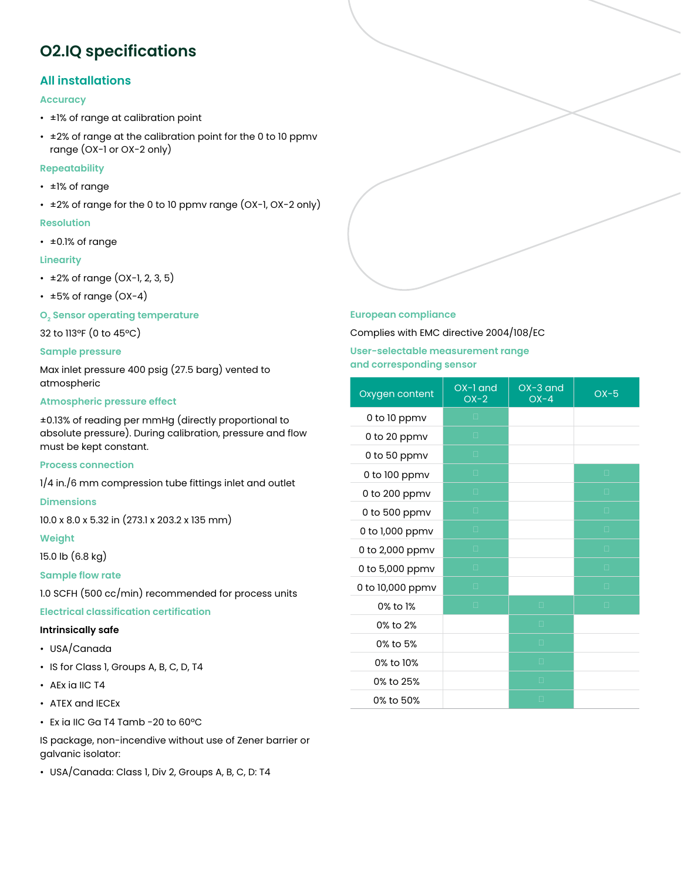# **O2.IQ specifications**

## **All installations**

#### **Accuracy**

- ±1% of range at calibration point
- ±2% of range at the calibration point for the 0 to 10 ppmv range (OX-1 or OX-2 only)

#### **Repeatability**

- ±1% of range
- ±2% of range for the 0 to 10 ppmv range (OX-1, OX-2 only)

#### **Resolution**

• ±0.1% of range

#### **Linearity**

- $\cdot$   $\pm$ 2% of range (OX-1, 2, 3, 5)
- $\cdot$   $\pm$ 5% of range (OX-4)

#### **O<sub>2</sub> Sensor operating temperature**

32 to 113ºF (0 to 45ºC)

#### **Sample pressure**

Max inlet pressure 400 psig (27.5 barg) vented to atmospheric

#### **Atmospheric pressure effect**

±0.13% of reading per mmHg (directly proportional to absolute pressure). During calibration, pressure and flow must be kept constant.

#### **Process connection**

1/4 in./6 mm compression tube fittings inlet and outlet

#### **Dimensions**

10.0 x 8.0 x 5.32 in (273.1 x 203.2 x 135 mm)

#### **Weight**

15.0 lb (6.8 kg)

#### **Sample flow rate**

1.0 SCFH (500 cc/min) recommended for process units

**Electrical classification certification**

#### **Intrinsically safe**

- USA/Canada
- IS for Class 1, Groups A, B, C, D, T4
- AEx ia IIC T4
- ATEX and IECEx
- Ex ia IIC Ga T4 Tamb -20 to 60ºC

IS package, non-incendive without use of Zener barrier or galvanic isolator:

• USA/Canada: Class 1, Div 2, Groups A, B, C, D: T4

#### **European compliance**

#### Complies with EMC directive 2004/108/EC

**User-selectable measurement range and corresponding sensor**

| Oxygen content   | $OX-1$ and<br>$OX-2$ | $OX-3$ and<br>$OX - 4$ | $OX-5$ |
|------------------|----------------------|------------------------|--------|
| 0 to 10 ppmv     | □                    |                        |        |
| 0 to 20 ppmv     | $\Box$               |                        |        |
| 0 to 50 ppmv     | □                    |                        |        |
| 0 to 100 ppmv    | $\Box$               |                        | $\Box$ |
| 0 to 200 ppmv    | □                    |                        | $\Box$ |
| 0 to 500 ppmv    | □                    |                        | $\Box$ |
| 0 to 1,000 ppmv  | $\Box$               |                        | $\Box$ |
| 0 to 2,000 ppmv  | п                    |                        | $\Box$ |
| 0 to 5,000 ppmv  | □                    |                        | $\Box$ |
| 0 to 10,000 ppmv | □                    |                        | $\Box$ |
| 0% to 1%         | $\Box$               | $\Box$                 | $\Box$ |
| 0% to 2%         |                      | $\Box$                 |        |
| 0% to 5%         |                      | $\Box$                 |        |
| 0% to 10%        |                      | $\Box$                 |        |
| 0% to 25%        |                      | $\Box$                 |        |
| 0% to 50%        |                      | $\Box$                 |        |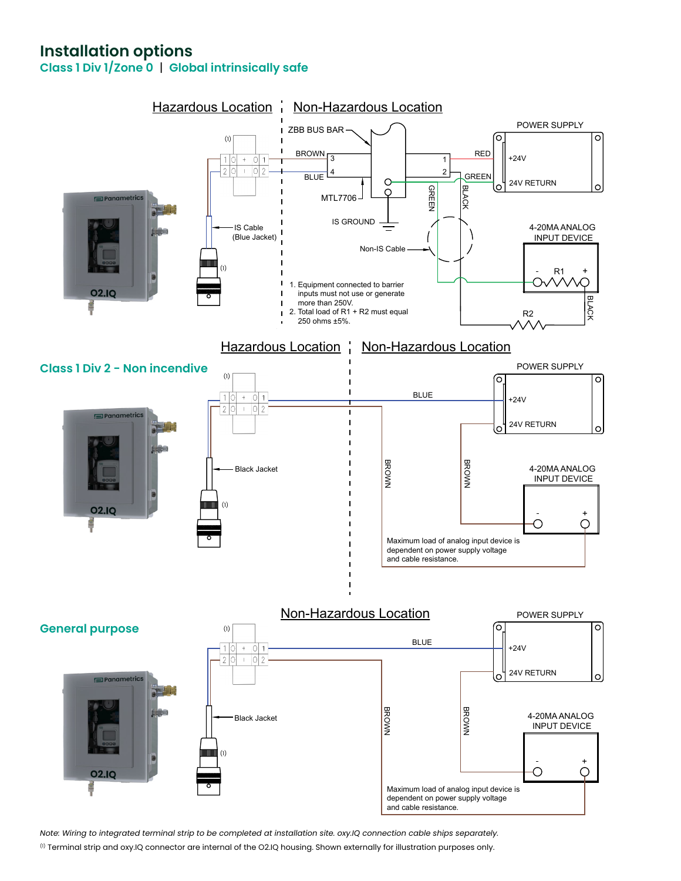## **Installation options**

**Class 1 Div 1/Zone 0** | **Global intrinsically safe**



*Note: Wiring to integrated terminal strip to be completed at installation site. oxy.IQ connection cable ships separately.*

(1) Terminal strip and oxy.IQ connector are internal of the O2.IQ housing. Shown externally for illustration purposes only.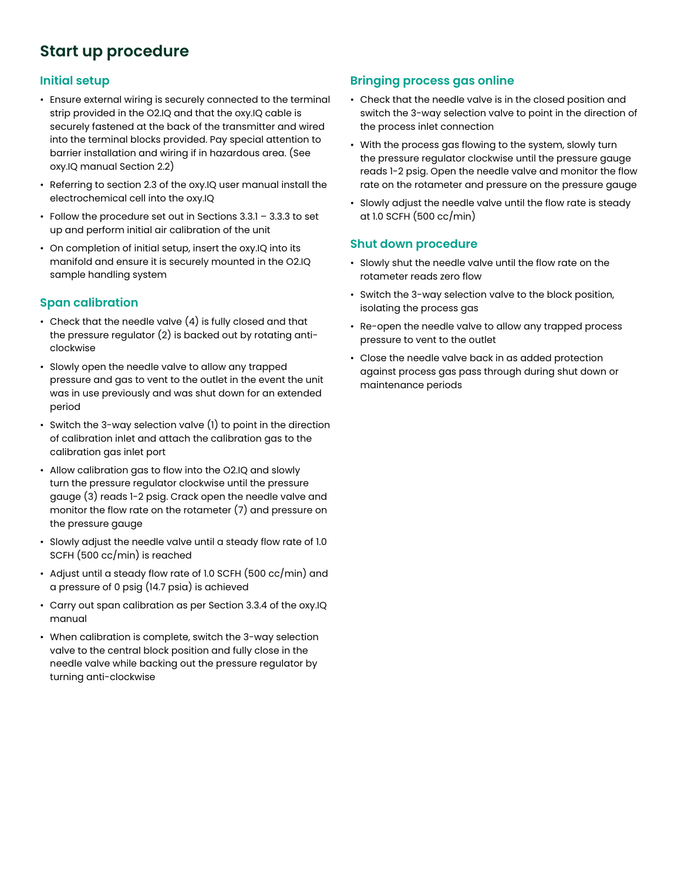## **Start up procedure**

#### **Initial setup**

- Ensure external wiring is securely connected to the terminal strip provided in the O2.IQ and that the oxy.IQ cable is securely fastened at the back of the transmitter and wired into the terminal blocks provided. Pay special attention to barrier installation and wiring if in hazardous area. (See oxy.IQ manual Section 2.2)
- Referring to section 2.3 of the oxy.IQ user manual install the electrochemical cell into the oxy.IQ
- Follow the procedure set out in Sections 3.3.1 3.3.3 to set up and perform initial air calibration of the unit
- On completion of initial setup, insert the oxy.IQ into its manifold and ensure it is securely mounted in the O2.IQ sample handling system

## **Span calibration**

- Check that the needle valve (4) is fully closed and that the pressure regulator (2) is backed out by rotating anticlockwise
- Slowly open the needle valve to allow any trapped pressure and gas to vent to the outlet in the event the unit was in use previously and was shut down for an extended period
- Switch the 3-way selection valve (1) to point in the direction of calibration inlet and attach the calibration gas to the calibration gas inlet port
- Allow calibration gas to flow into the O2.IQ and slowly turn the pressure regulator clockwise until the pressure gauge (3) reads 1-2 psig. Crack open the needle valve and monitor the flow rate on the rotameter (7) and pressure on the pressure gauge
- Slowly adjust the needle valve until a steady flow rate of 1.0 SCFH (500 cc/min) is reached
- Adjust until a steady flow rate of 1.0 SCFH (500 cc/min) and a pressure of 0 psig (14.7 psia) is achieved
- Carry out span calibration as per Section 3.3.4 of the oxy.IQ manual
- When calibration is complete, switch the 3-way selection valve to the central block position and fully close in the needle valve while backing out the pressure regulator by turning anti-clockwise

## **Bringing process gas online**

- Check that the needle valve is in the closed position and switch the 3-way selection valve to point in the direction of the process inlet connection
- With the process gas flowing to the system, slowly turn the pressure regulator clockwise until the pressure gauge reads 1-2 psig. Open the needle valve and monitor the flow rate on the rotameter and pressure on the pressure gauge
- Slowly adjust the needle valve until the flow rate is steady at 1.0 SCFH (500 cc/min)

#### **Shut down procedure**

- Slowly shut the needle valve until the flow rate on the rotameter reads zero flow
- Switch the 3-way selection valve to the block position, isolating the process gas
- Re-open the needle valve to allow any trapped process pressure to vent to the outlet
- Close the needle valve back in as added protection against process gas pass through during shut down or maintenance periods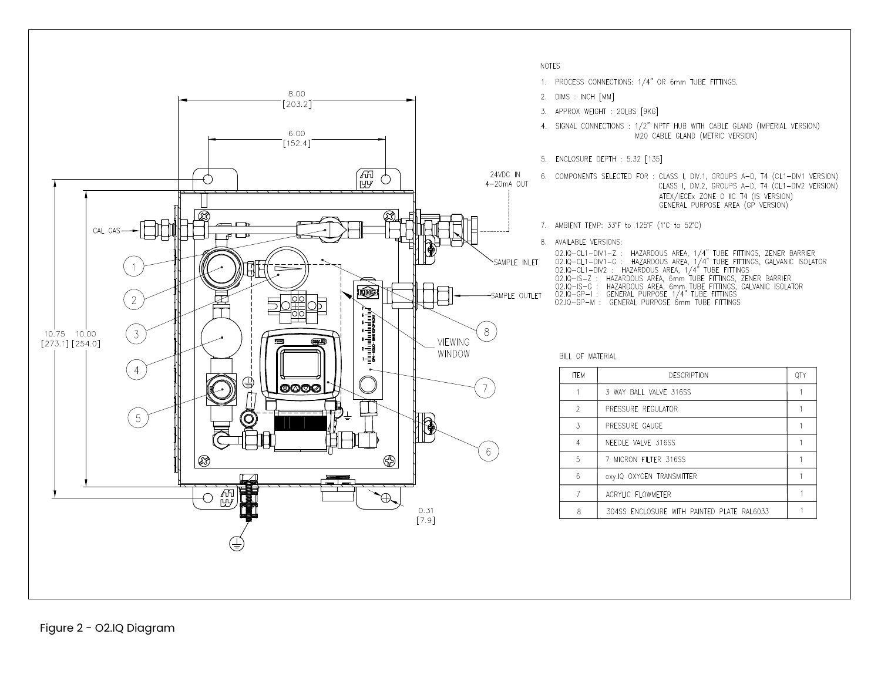

#### **NOTES**

- 1. PROCESS CONNECTIONS: 1/4" OR 6mm TUBE FITTINGS.
- 2. DIMS : INCH [MM]
- 3. APPROX WEIGHT : 20LBS [9KG]

4. SIGNAL CONNECTIONS : 1/2" NPTF HUB WITH CABLE GLAND (IMPERIAL VERSION) M20 CABLE GLAND (METRIC VERSION)

#### 5. ENCLOSURE DEPTH : 5.32 [135]

- 6. COMPONENTS SELECTED FOR : CLASS I, DIV.1, GROUPS A-D, T4 (CL1-DIV1 VERSION) CLASS I, DIV.2, GROUPS A-D, T4 (CL1-DIV2 VERSION) ATEX/IECEx ZONE 0 IIC T4 (IS VERSION) GENERAL PURPOSE AREA (GP VERSION)
	- 7. AMBIENT TEMP: 33°F to 125°F (1°C to 52°C)

8. AVAILABLE VERSIONS:

02.1Q-CL1-DIV1-Z : HAZARDOUS AREA, 1/4" TUBE FITTINGS, ZENER BARRIER<br>02.1Q-CL1-DIV1-G : HAZARDOUS AREA, 1/4" TUBE FITTINGS, GALVANIC ISOLATOR<br>02.1Q-CL1-DIV2 : HAZARDOUS AREA, 1/4" TUBE FITTINGS 02.IQ-IS-Z: HAZARDOUS AREA, 6mm TUBE FITTINGS, ZENER BARRIER 02.10-IS-G: HAZARDOUS AREA, 6mm TUBE FITTINGS, GALVANIC ISOLATOR<br>02.10-IS-G: HAZARDOUS AREA, 6mm TUBE FITTINGS, GALVANIC ISOLATOR<br>02.10-GP-I: GENERAL PURPOSE 1/4" TUBE FITTINGS 02.IQ-GP-M : GENERAL PURPOSE 6mm TUBE FITTINGS

#### BILL OF MATERIAL

| <b>ITEM</b>    | <b>DESCRIPTION</b>                         |  |
|----------------|--------------------------------------------|--|
|                | 3 WAY BALL VALVE 316SS                     |  |
| $\mathfrak{D}$ | PRESSURE REGULATOR                         |  |
| 3              | PRESSURE GAUGE                             |  |
| 4              | NEEDLE VALVE 316SS                         |  |
| 5              | 7 MICRON FILTER 316SS                      |  |
| 6              | oxy.IQ OXYGEN TRANSMITTER                  |  |
| 7              | ACRYLIC FLOWMETER                          |  |
| 8              | 304SS ENCLOSURE WITH PAINTED PLATE RAL6033 |  |